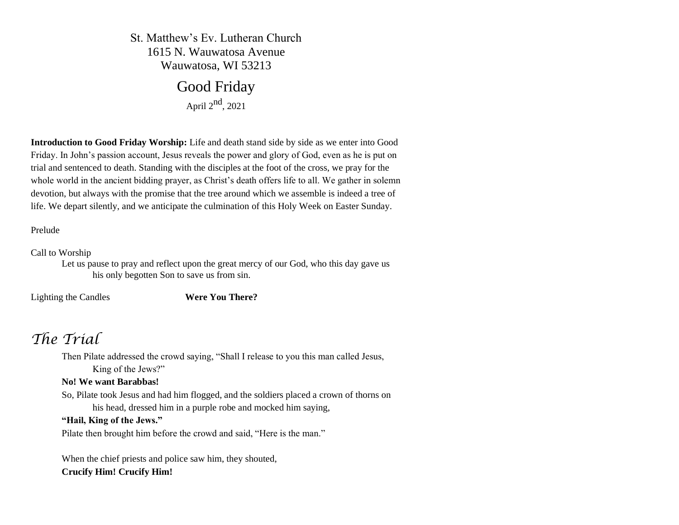St. Matthew's Ev. Lutheran Church 1615 N. Wauwatosa Avenue Wauwatosa, WI 53213

# Good Friday

April  $2<sup>nd</sup>$ , 2021

**Introduction to Good Friday Worship:** Life and death stand side by side as we enter into Good Friday. In John's passion account, Jesus reveals the power and glory of God, even as he is put on trial and sentenced to death. Standing with the disciples at the foot of the cross, we pray for the whole world in the ancient bidding prayer, as Christ's death offers life to all. We gather in solemn devotion, but always with the promise that the tree around which we assemble is indeed a tree of life. We depart silently, and we anticipate the culmination of this Holy Week on Easter Sunday.

Prelude

Call to Worship

Let us pause to pray and reflect upon the great mercy of our God, who this day gave us his only begotten Son to save us from sin.

Lighting the Candles **Were You There?**

# *The Trial*

Then Pilate addressed the crowd saying, "Shall I release to you this man called Jesus, King of the Jews?"

# **No! We want Barabbas!**

So, Pilate took Jesus and had him flogged, and the soldiers placed a crown of thorns on his head, dressed him in a purple robe and mocked him saying,

# **"Hail, King of the Jews."**

Pilate then brought him before the crowd and said, "Here is the man."

When the chief priests and police saw him, they shouted,

# **Crucify Him! Crucify Him!**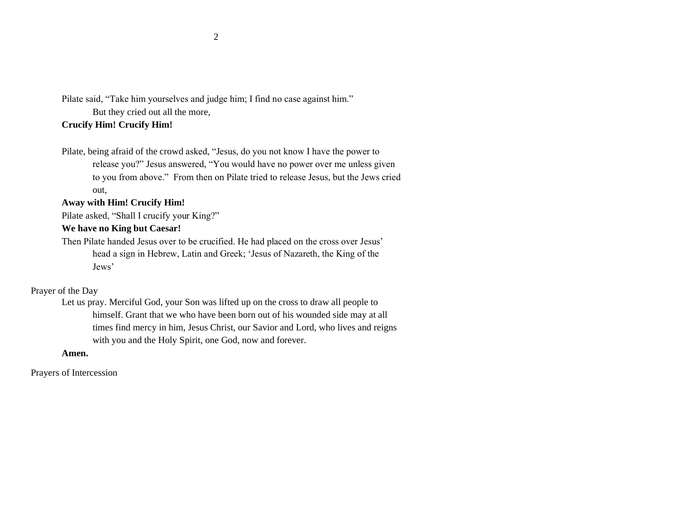Pilate said, "Take him yourselves and judge him; I find no case against him." But they cried out all the more,

# **Crucify Him! Crucify Him!**

Pilate, being afraid of the crowd asked, "Jesus, do you not know I have the power to release you?" Jesus answered, "You would have no power over me unless given to you from above." From then on Pilate tried to release Jesus, but the Jews cried out,

# **Away with Him! Crucify Him!**

Pilate asked, "Shall I crucify your King?"

# **We have no King but Caesar!**

Then Pilate handed Jesus over to be crucified. He had placed on the cross over Jesus' head a sign in Hebrew, Latin and Greek; 'Jesus of Nazareth, the King of the Jews'

#### Prayer of the Day

Let us pray. Merciful God, your Son was lifted up on the cross to draw all people to himself. Grant that we who have been born out of his wounded side may at all times find mercy in him, Jesus Christ, our Savior and Lord, who lives and reigns with you and the Holy Spirit, one God, now and forever.

#### **Amen.**

Prayers of Intercession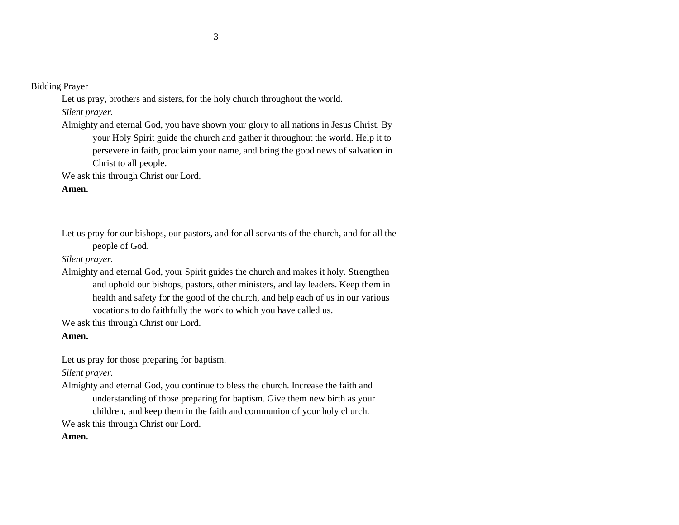Bidding Prayer

Let us pray, brothers and sisters, for the holy church throughout the world. *Silent prayer.*

Almighty and eternal God, you have shown your glory to all nations in Jesus Christ. By your Holy Spirit guide the church and gather it throughout the world. Help it to persevere in faith, proclaim your name, and bring the good news of salvation in Christ to all people.

We ask this through Christ our Lord.

# **Amen.**

Let us pray for our bishops, our pastors, and for all servants of the church, and for all the people of God.

*Silent prayer.*

Almighty and eternal God, your Spirit guides the church and makes it holy. Strengthen and uphold our bishops, pastors, other ministers, and lay leaders. Keep them in health and safety for the good of the church, and help each of us in our various vocations to do faithfully the work to which you have called us.

We ask this through Christ our Lord.

**Amen.**

Let us pray for those preparing for baptism.

*Silent prayer.*

Almighty and eternal God, you continue to bless the church. Increase the faith and understanding of those preparing for baptism. Give them new birth as your children, and keep them in the faith and communion of your holy church.

We ask this through Christ our Lord.

# **Amen.**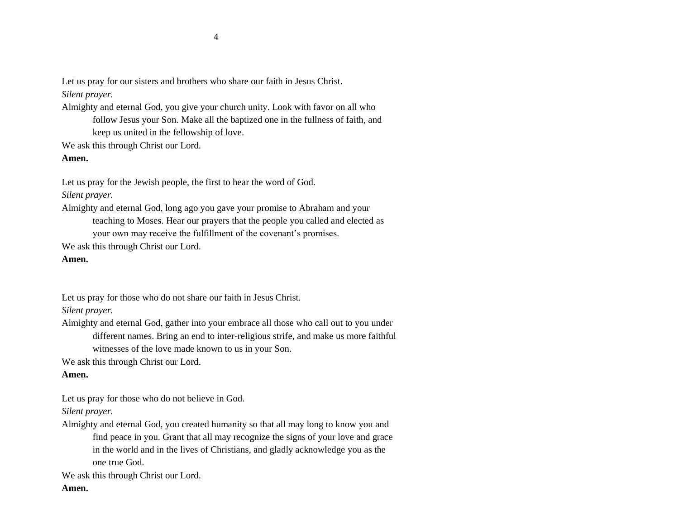Let us pray for our sisters and brothers who share our faith in Jesus Christ.

# *Silent prayer.*

Almighty and eternal God, you give your church unity. Look with favor on all who follow Jesus your Son. Make all the baptized one in the fullness of faith, and keep us united in the fellowship of love.

We ask this through Christ our Lord.

**Amen.**

Let us pray for the Jewish people, the first to hear the word of God.

*Silent prayer.*

- Almighty and eternal God, long ago you gave your promise to Abraham and your teaching to Moses. Hear our prayers that the people you called and elected as your own may receive the fulfillment of the covenant's promises.
- We ask this through Christ our Lord.

# **Amen.**

Let us pray for those who do not share our faith in Jesus Christ.

*Silent prayer.*

Almighty and eternal God, gather into your embrace all those who call out to you under different names. Bring an end to inter-religious strife, and make us more faithful witnesses of the love made known to us in your Son.

We ask this through Christ our Lord.

# **Amen.**

Let us pray for those who do not believe in God.

*Silent prayer.*

Almighty and eternal God, you created humanity so that all may long to know you and find peace in you. Grant that all may recognize the signs of your love and grace in the world and in the lives of Christians, and gladly acknowledge you as the one true God.

We ask this through Christ our Lord.

# **Amen.**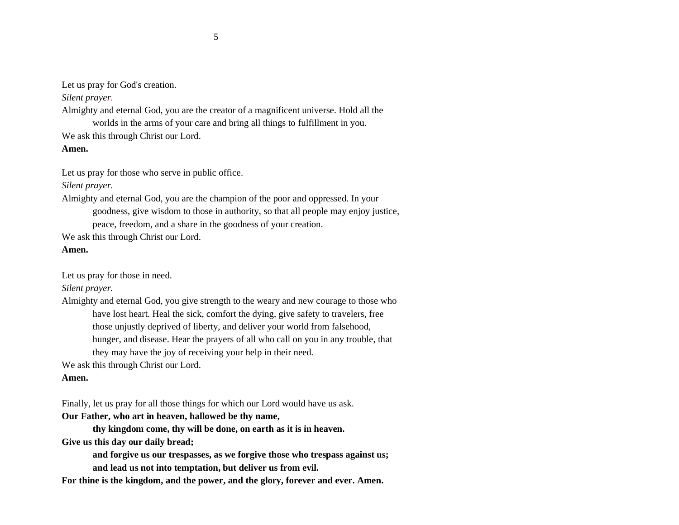Let us pray for God's creation.

### *Silent prayer.*

Almighty and eternal God, you are the creator of a magnificent universe. Hold all the worlds in the arms of your care and bring all things to fulfillment in you.

We ask this through Christ our Lord.

**Amen.**

Let us pray for those who serve in public office.

*Silent prayer.*

Almighty and eternal God, you are the champion of the poor and oppressed. In your goodness, give wisdom to those in authority, so that all people may enjoy justice, peace, freedom, and a share in the goodness of your creation.

We ask this through Christ our Lord.

# **Amen.**

Let us pray for those in need.

*Silent prayer.*

Almighty and eternal God, you give strength to the weary and new courage to those who have lost heart. Heal the sick, comfort the dying, give safety to travelers, free those unjustly deprived of liberty, and deliver your world from falsehood, hunger, and disease. Hear the prayers of all who call on you in any trouble, that they may have the joy of receiving your help in their need.

We ask this through Christ our Lord.

# **Amen.**

Finally, let us pray for all those things for which our Lord would have us ask.

**Our Father, who art in heaven, hallowed be thy name,**

**thy kingdom come, thy will be done, on earth as it is in heaven.**

**Give us this day our daily bread;**

**and forgive us our trespasses, as we forgive those who trespass against us; and lead us not into temptation, but deliver us from evil.**

**For thine is the kingdom, and the power, and the glory, forever and ever. Amen.**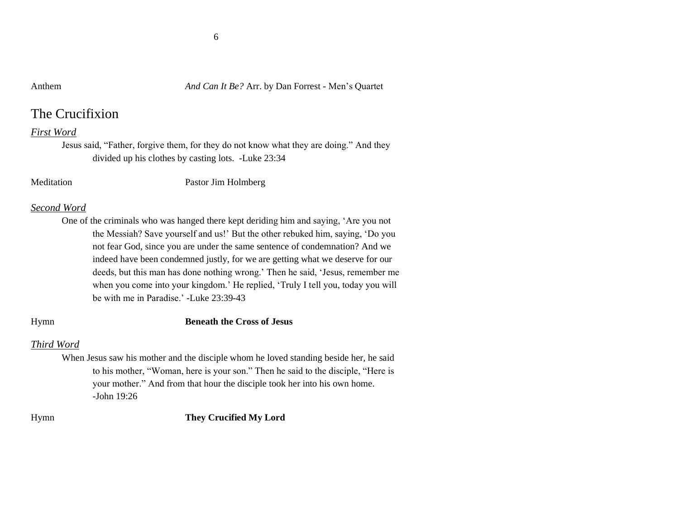### Anthem *And Can It Be?* Arr. by Dan Forrest - Men's Quartet

# The Crucifixion

# *First Word*

Jesus said, "Father, forgive them, for they do not know what they are doing." And they divided up his clothes by casting lots. -Luke 23:34

Meditation Pastor Jim Holmberg

### *Second Word*

One of the criminals who was hanged there kept deriding him and saying, 'Are you not the Messiah? Save yourself and us!' But the other rebuked him, saying, 'Do you not fear God, since you are under the same sentence of condemnation? And we indeed have been condemned justly, for we are getting what we deserve for our deeds, but this man has done nothing wrong.' Then he said, 'Jesus, remember me when you come into your kingdom.' He replied, 'Truly I tell you, today you will be with me in Paradise.' -Luke 23:39-43

#### Hymn **Beneath the Cross of Jesus**

# *Third Word*

When Jesus saw his mother and the disciple whom he loved standing beside her, he said to his mother, "Woman, here is your son." Then he said to the disciple, "Here is your mother." And from that hour the disciple took her into his own home. -John  $19.26$ 

# Hymn **They Crucified My Lord**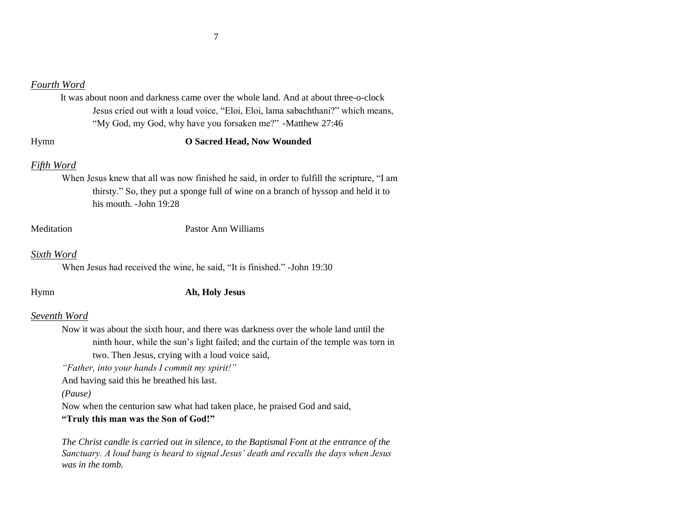# *Fourth Word*

 It was about noon and darkness came over the whole land. And at about three-o-clock Jesus cried out with a loud voice, "Eloi, Eloi, lama sabachthani?" which means, "My God, my God, why have you forsaken me?" -Matthew 27:46

# Hymn **O Sacred Head, Now Wounded**

# *Fifth Word*

When Jesus knew that all was now finished he said, in order to fulfill the scripture, "I am thirsty." So, they put a sponge full of wine on a branch of hyssop and held it to his mouth. -John 19:28

#### Meditation Pastor Ann Williams

#### *Sixth Word*

When Jesus had received the wine, he said, "It is finished." -John 19:30

# Hymn **Ah, Holy Jesus**

#### *Seventh Word*

Now it was about the sixth hour, and there was darkness over the whole land until the ninth hour, while the sun's light failed; and the curtain of the temple was torn in two. Then Jesus, crying with a loud voice said,

*"Father, into your hands I commit my spirit!"* 

And having said this he breathed his last.

*(Pause)*

Now when the centurion saw what had taken place, he praised God and said,

# **"Truly this man was the Son of God!"**

*The Christ candle is carried out in silence, to the Baptismal Font at the entrance of the Sanctuary. A loud bang is heard to signal Jesus' death and recalls the days when Jesus was in the tomb.*